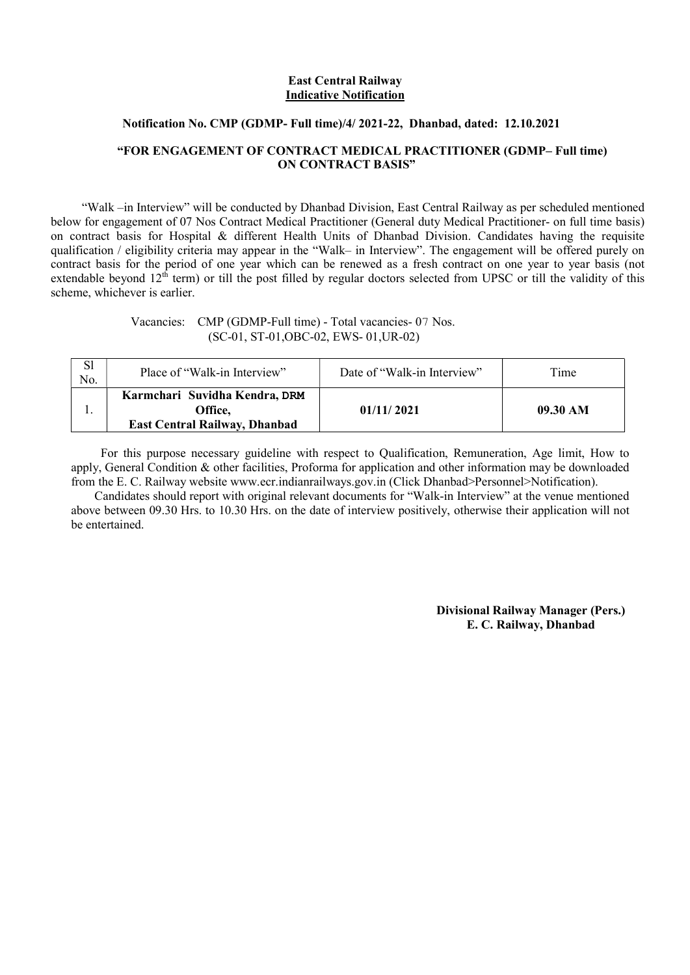#### East Central Railway Indicative Notification

#### Notification No. CMP (GDMP- Full time)/4/ 2021-22, Dhanbad, dated: 12.10.2021

#### "FOR ENGAGEMENT OF CONTRACT MEDICAL PRACTITIONER (GDMP– Full time) ON CONTRACT BASIS"

 "Walk –in Interview" will be conducted by Dhanbad Division, East Central Railway as per scheduled mentioned below for engagement of 07 Nos Contract Medical Practitioner (General duty Medical Practitioner- on full time basis) on contract basis for Hospital & different Health Units of Dhanbad Division. Candidates having the requisite qualification / eligibility criteria may appear in the "Walk– in Interview". The engagement will be offered purely on contract basis for the period of one year which can be renewed as a fresh contract on one year to year basis (not extendable beyond  $12^{th}$  term) or till the post filled by regular doctors selected from UPSC or till the validity of this scheme, whichever is earlier.

> Vacancies: CMP (GDMP-Full time) - Total vacancies- 07 Nos. (SC-01, ST-01,OBC-02, EWS- 01,UR-02)

| S1<br>No. | Place of "Walk-in Interview"                                                     | Date of "Walk-in Interview" | Time     |
|-----------|----------------------------------------------------------------------------------|-----------------------------|----------|
|           | Karmchari Suvidha Kendra, DRM<br>Office.<br><b>East Central Railway, Dhanbad</b> | 01/11/2021                  | 09.30 AM |

 For this purpose necessary guideline with respect to Qualification, Remuneration, Age limit, How to apply, General Condition & other facilities, Proforma for application and other information may be downloaded from the E. C. Railway website www.ecr.indianrailways.gov.in (Click Dhanbad>Personnel>Notification).

 Candidates should report with original relevant documents for "Walk-in Interview" at the venue mentioned above between 09.30 Hrs. to 10.30 Hrs. on the date of interview positively, otherwise their application will not be entertained.

> Divisional Railway Manager (Pers.) E. C. Railway, Dhanbad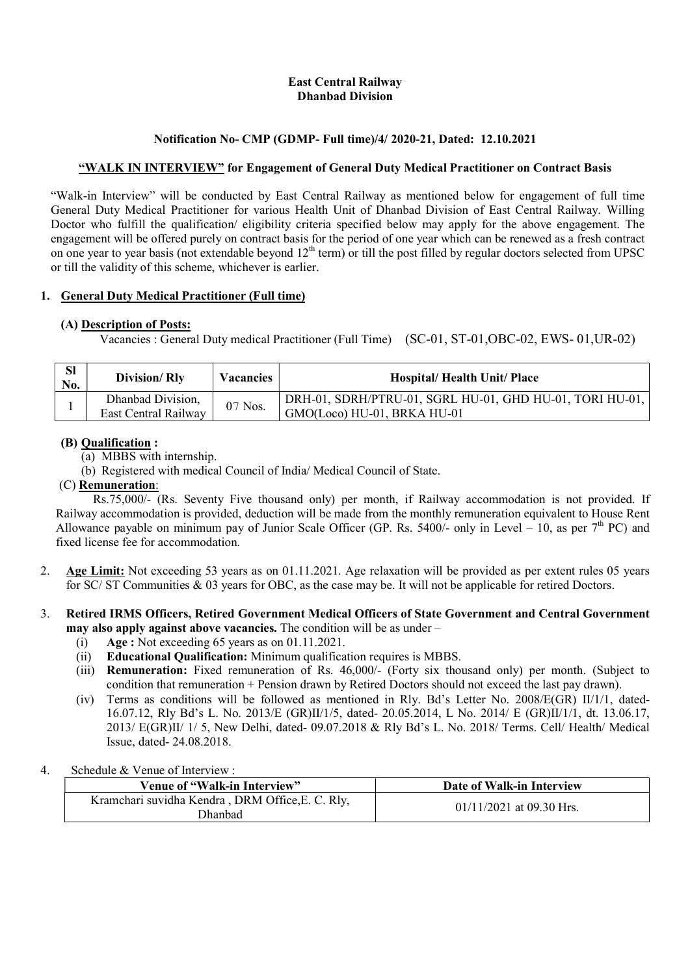### East Central Railway Dhanbad Division

### Notification No- CMP (GDMP- Full time)/4/ 2020-21, Dated: 12.10.2021

### "WALK IN INTERVIEW" for Engagement of General Duty Medical Practitioner on Contract Basis

"Walk-in Interview" will be conducted by East Central Railway as mentioned below for engagement of full time General Duty Medical Practitioner for various Health Unit of Dhanbad Division of East Central Railway. Willing Doctor who fulfill the qualification/ eligibility criteria specified below may apply for the above engagement. The engagement will be offered purely on contract basis for the period of one year which can be renewed as a fresh contract on one year to year basis (not extendable beyond  $12<sup>th</sup>$  term) or till the post filled by regular doctors selected from UPSC or till the validity of this scheme, whichever is earlier.

#### 1. General Duty Medical Practitioner (Full time)

### (A) Description of Posts:

Vacancies : General Duty medical Practitioner (Full Time) (SC-01, ST-01,OBC-02, EWS- 01,UR-02)

| <b>Sl</b><br>No. | Division/Rly                              | <b>Vacancies</b> | <b>Hospital/Health Unit/Place</b>                                                       |
|------------------|-------------------------------------------|------------------|-----------------------------------------------------------------------------------------|
|                  | Dhanbad Division,<br>East Central Railway | $07$ Nos.        | DRH-01, SDRH/PTRU-01, SGRL HU-01, GHD HU-01, TORI HU-01,<br>GMO(Loco) HU-01, BRKA HU-01 |

### (B) Qualification :

- (a) MBBS with internship.
- (b) Registered with medical Council of India/ Medical Council of State.

### (C) Remuneration:

 Rs.75,000/- (Rs. Seventy Five thousand only) per month, if Railway accommodation is not provided. If Railway accommodation is provided, deduction will be made from the monthly remuneration equivalent to House Rent Allowance payable on minimum pay of Junior Scale Officer (GP. Rs. 5400/- only in Level – 10, as per  $7<sup>th</sup>$  PC) and fixed license fee for accommodation.

2. Age Limit: Not exceeding 53 years as on 01.11.2021. Age relaxation will be provided as per extent rules 05 years for SC/ ST Communities & 03 years for OBC, as the case may be. It will not be applicable for retired Doctors.

#### 3. Retired IRMS Officers, Retired Government Medical Officers of State Government and Central Government may also apply against above vacancies. The condition will be as under –

- (i)  $Age: Not exceeding 65 years as on 01.11.2021.$
- (ii) Educational Qualification: Minimum qualification requires is MBBS.
- (iii) Remuneration: Fixed remuneration of Rs. 46,000/- (Forty six thousand only) per month. (Subject to condition that remuneration + Pension drawn by Retired Doctors should not exceed the last pay drawn).
- (iv) Terms as conditions will be followed as mentioned in Rly. Bd's Letter No. 2008/E(GR) II/1/1, dated-16.07.12, Rly Bd's L. No. 2013/E (GR)II/1/5, dated- 20.05.2014, L No. 2014/ E (GR)II/1/1, dt. 13.06.17, 2013/ E(GR)II/ 1/ 5, New Delhi, dated- 09.07.2018 & Rly Bd's L. No. 2018/ Terms. Cell/ Health/ Medical Issue, dated- 24.08.2018.

#### 4. Schedule & Venue of Interview :

| Venue of "Walk-in Interview"                                | Date of Walk-in Interview  |
|-------------------------------------------------------------|----------------------------|
| Kramchari suvidha Kendra, DRM Office, E. C. Rly,<br>Dhanbad | $01/11/2021$ at 09.30 Hrs. |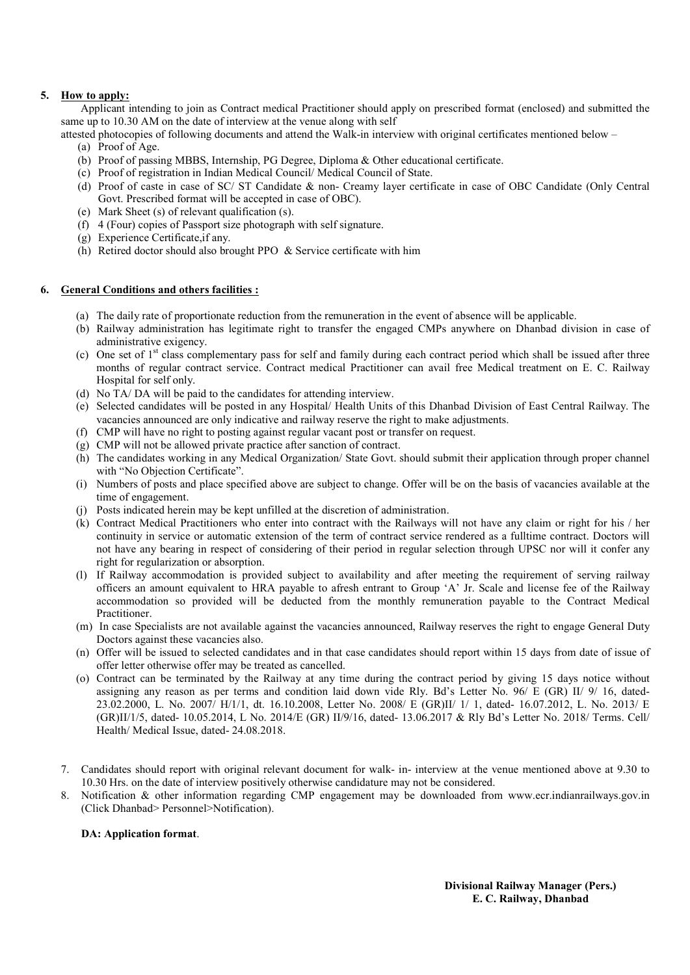#### 5. How to apply:

 Applicant intending to join as Contract medical Practitioner should apply on prescribed format (enclosed) and submitted the same up to 10.30 AM on the date of interview at the venue along with self

attested photocopies of following documents and attend the Walk-in interview with original certificates mentioned below –

- (a) Proof of Age.
- (b) Proof of passing MBBS, Internship, PG Degree, Diploma & Other educational certificate.
- (c) Proof of registration in Indian Medical Council/ Medical Council of State.
- (d) Proof of caste in case of SC/ ST Candidate & non- Creamy layer certificate in case of OBC Candidate (Only Central Govt. Prescribed format will be accepted in case of OBC).
- (e) Mark Sheet (s) of relevant qualification (s).
- (f) 4 (Four) copies of Passport size photograph with self signature.
- (g) Experience Certificate,if any.
- (h) Retired doctor should also brought PPO & Service certificate with him

#### 6. General Conditions and others facilities :

- (a) The daily rate of proportionate reduction from the remuneration in the event of absence will be applicable.
- (b) Railway administration has legitimate right to transfer the engaged CMPs anywhere on Dhanbad division in case of administrative exigency.
- (c) One set of  $1<sup>st</sup>$  class complementary pass for self and family during each contract period which shall be issued after three months of regular contract service. Contract medical Practitioner can avail free Medical treatment on E. C. Railway Hospital for self only.
- (d) No TA/ DA will be paid to the candidates for attending interview.
- (e) Selected candidates will be posted in any Hospital/ Health Units of this Dhanbad Division of East Central Railway. The vacancies announced are only indicative and railway reserve the right to make adjustments.
- (f) CMP will have no right to posting against regular vacant post or transfer on request.
- (g) CMP will not be allowed private practice after sanction of contract.
- (h) The candidates working in any Medical Organization/ State Govt. should submit their application through proper channel with "No Objection Certificate".
- (i) Numbers of posts and place specified above are subject to change. Offer will be on the basis of vacancies available at the time of engagement.
- (j) Posts indicated herein may be kept unfilled at the discretion of administration.
- (k) Contract Medical Practitioners who enter into contract with the Railways will not have any claim or right for his / her continuity in service or automatic extension of the term of contract service rendered as a fulltime contract. Doctors will not have any bearing in respect of considering of their period in regular selection through UPSC nor will it confer any right for regularization or absorption.
- (l) If Railway accommodation is provided subject to availability and after meeting the requirement of serving railway officers an amount equivalent to HRA payable to afresh entrant to Group 'A' Jr. Scale and license fee of the Railway accommodation so provided will be deducted from the monthly remuneration payable to the Contract Medical Practitioner.
- (m) In case Specialists are not available against the vacancies announced, Railway reserves the right to engage General Duty Doctors against these vacancies also.
- (n) Offer will be issued to selected candidates and in that case candidates should report within 15 days from date of issue of offer letter otherwise offer may be treated as cancelled.
- (o) Contract can be terminated by the Railway at any time during the contract period by giving 15 days notice without assigning any reason as per terms and condition laid down vide Rly. Bd's Letter No. 96/ E (GR) II/ 9/ 16, dated-23.02.2000, L. No. 2007/ H/1/1, dt. 16.10.2008, Letter No. 2008/ E (GR)II/ 1/ 1, dated- 16.07.2012, L. No. 2013/ E (GR)II/1/5, dated- 10.05.2014, L No. 2014/E (GR) II/9/16, dated- 13.06.2017 & Rly Bd's Letter No. 2018/ Terms. Cell/ Health/ Medical Issue, dated- 24.08.2018.
- 7. Candidates should report with original relevant document for walk- in- interview at the venue mentioned above at 9.30 to 10.30 Hrs. on the date of interview positively otherwise candidature may not be considered.
- 8. Notification & other information regarding CMP engagement may be downloaded from www.ecr.indianrailways.gov.in (Click Dhanbad> Personnel>Notification).

#### DA: Application format.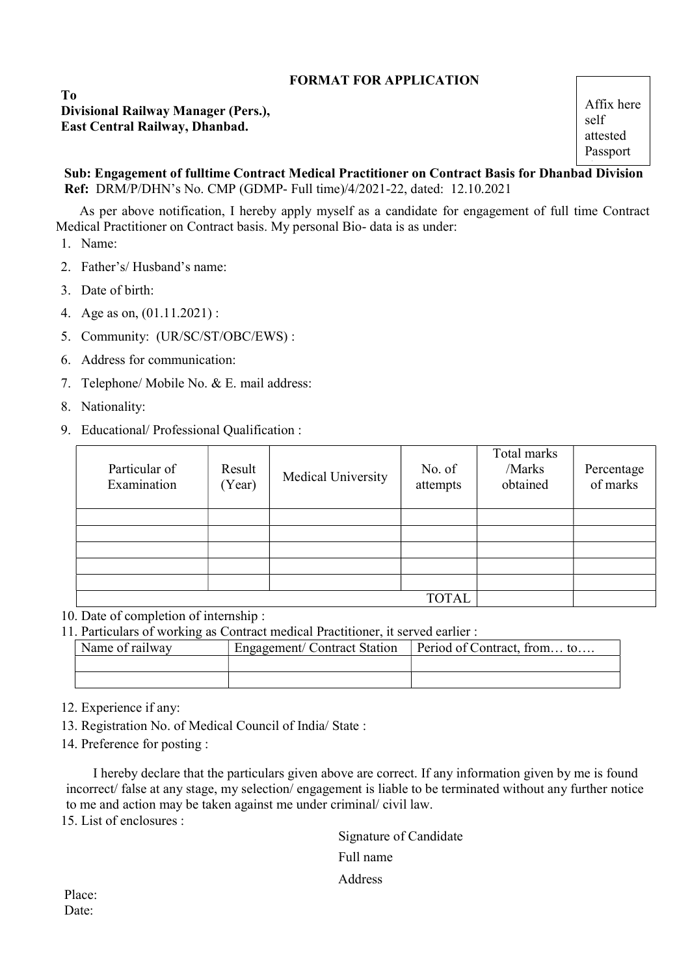### FORMAT FOR APPLICATION

 To Divisional Railway Manager (Pers.), East Central Railway, Dhanbad.

 Sub: Engagement of fulltime Contract Medical Practitioner on Contract Basis for Dhanbad Division size Ref: DRM/P/DHN's No. CMP (GDMP- Full time)/4/2021-22, dated: 12.10.2021

 As per above notification, I hereby apply myself as a candidate for engagement of full time Contract Medical Practitioner on Contract basis. My personal Bio- data is as under:

1. Name:

- 2. Father's/ Husband's name:
- 3. Date of birth:
- 4. Age as on, (01.11.2021) :
- 5. Community: (UR/SC/ST/OBC/EWS) :
- 6. Address for communication:
- 7. Telephone/ Mobile No. & E. mail address:
- 8. Nationality:
- 9. Educational/ Professional Qualification :

| Particular of<br>Examination | Result<br>(Year) | Medical University | No. of<br>attempts | Total marks<br>/Marks<br>obtained | Percentage<br>of marks |
|------------------------------|------------------|--------------------|--------------------|-----------------------------------|------------------------|
|                              |                  |                    |                    |                                   |                        |
|                              |                  |                    |                    |                                   |                        |
|                              |                  |                    |                    |                                   |                        |
|                              |                  |                    |                    |                                   |                        |
|                              |                  |                    |                    |                                   |                        |
|                              |                  |                    | <b>TOTAL</b>       |                                   |                        |

10. Date of completion of internship :

11. Particulars of working as Contract medical Practitioner, it served earlier :

| Name of railway | Engagement/Contract Station | Period of Contract, from to |
|-----------------|-----------------------------|-----------------------------|
|                 |                             |                             |
|                 |                             |                             |

12. Experience if any:

13. Registration No. of Medical Council of India/ State :

14. Preference for posting :

 I hereby declare that the particulars given above are correct. If any information given by me is found incorrect/ false at any stage, my selection/ engagement is liable to be terminated without any further notice to me and action may be taken against me under criminal/ civil law.

15. List of enclosures :

 Signature of Candidate Full name Address

 Place: Date: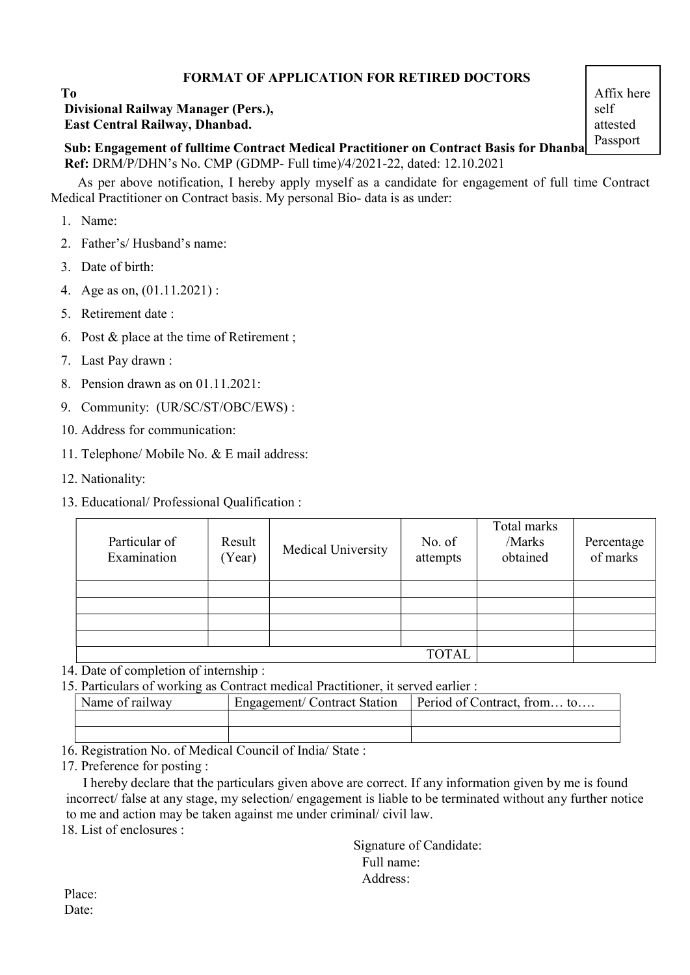### FORMAT OF APPLICATION FOR RETIRED DOCTORS

### To Divisional Railway Manager (Pers.), East Central Railway, Dhanbad.

Sub: Engagement of fulltime Contract Medical Practitioner on Contract Basis for Dhanba Ref: DRM/P/DHN's No. CMP (GDMP- Full time)/4/2021-22, dated: 12.10.2021 size

 As per above notification, I hereby apply myself as a candidate for engagement of full time Contract Medical Practitioner on Contract basis. My personal Bio- data is as under:

1. Name:

- 2. Father's/ Husband's name:
- 3. Date of birth:
- 4. Age as on, (01.11.2021) :
- 5. Retirement date :
- 6. Post & place at the time of Retirement ;
- 7. Last Pay drawn :
- 8. Pension drawn as on 01.11.2021:
- 9. Community: (UR/SC/ST/OBC/EWS) :
- 10. Address for communication:
- 11. Telephone/ Mobile No. & E mail address:
- 12. Nationality:
- 13. Educational/ Professional Qualification :

| Particular of<br>Examination | Result<br>(Year) | Medical University | No. of<br>attempts | Total marks<br>/Marks<br>obtained | Percentage<br>of marks |
|------------------------------|------------------|--------------------|--------------------|-----------------------------------|------------------------|
|                              |                  |                    |                    |                                   |                        |
|                              |                  |                    |                    |                                   |                        |
|                              |                  |                    |                    |                                   |                        |
|                              |                  |                    |                    |                                   |                        |
|                              |                  |                    | <b>TOTAL</b>       |                                   |                        |

14. Date of completion of internship :

15. Particulars of working as Contract medical Practitioner, it served earlier :

| Name of railway                                   | Engagement/Contract Station | Period of Contract, from to |  |  |
|---------------------------------------------------|-----------------------------|-----------------------------|--|--|
|                                                   |                             |                             |  |  |
|                                                   |                             |                             |  |  |
| $\sim$ $ \sim$ $\sim$ $ \sim$<br>$ -$<br><u>_</u> | .                           |                             |  |  |

16. Registration No. of Medical Council of India/ State :

17. Preference for posting :

 I hereby declare that the particulars given above are correct. If any information given by me is found incorrect/ false at any stage, my selection/ engagement is liable to be terminated without any further notice to me and action may be taken against me under criminal/ civil law.

18. List of enclosures :

 Signature of Candidate: Full name: Address:

 Place: Date: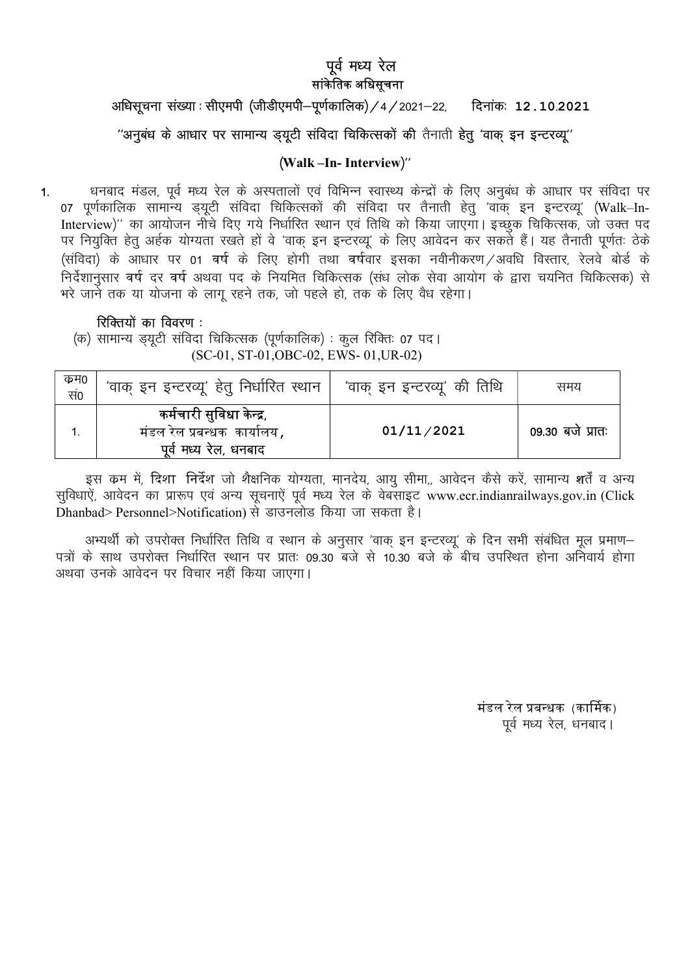### पूर्व मध्य रेल सांकेतिक अधिसचना

### अधिसूचना संख्या : सीएमपी (जीडीएमपी–पूर्णकालिक) / 4 / 2021–22, विनांक: 12.10.2021

### "अनुबंध के आधार पर सामान्य ड़यूटी संविदा चिकित्सकों की तैनाती हेतू 'वाक इन इन्टरव्यू"

### (Walk-In-Interview)"

धनबाद मंडल, पूर्व मध्य रेल के अस्पतालों एवं विभिन्न स्वास्थ्य केन्द्रों के लिए अनुबंध के आधार पर संविदा पर  $\mathbf{1}$ 07 पूर्णकालिक सामान्य ड्यूटी संविदा चिकित्सकों की संविदा पर तैनाती हेतु 'वाक् इन इन्टरव्यू' (Walk–In-Interview)" का आयोजन नीचे दिए गये निर्धारित स्थान एवं तिथि को किया जाएगा। इच्छुक चिकित्सक, जो उक्त पद पर नियुक्ति हेतु अर्हक योग्यता रखते हों वे 'वाक् इन इन्टरव्यू' के लिए आवेदन कर सकते हैं। यह तैनाती पूर्णतः ठेके (संविदा) के आधार पर 01 वर्ष के लिए होगी तथा वर्षवार इसका नवीनीकरण /अवधि विस्तार, रेलवे बोर्ड के .<br>निर्देशानुसार वर्ष दर वर्ष अथवा पद के नियमित चिकित्सक (संध लोक सेवा आयोग के द्वारा चयनित चिकित्सक) से भरे जाने तक या योजना के लाग रहने तक, जो पहले हो, तक के लिए वैध रहेगा।

### रिक्तियों का विवरण:

(क) सामान्य ड़यूटी संविदा चिकित्सक (पूर्णकालिक) : कूल रिक्तिः 07 पद। (SC-01, ST-01, OBC-02, EWS-01, UR-02)

| कम0<br>सं० | 'वाक् इन इन्टरव्यू' हेतु निर्धारित स्थान                                         | 'वाक् इन इन्टरव्यू' की तिथि | समय              |
|------------|----------------------------------------------------------------------------------|-----------------------------|------------------|
|            | कर्मचारी सुविधा केन्द्र,<br>मंडल रेल प्रबन्धक  कायोलय ,<br>पूर्व मध्य रेल, धनबाद | 01/11/2021                  | 09.30 बजे प्रातः |

इस कम में, दिशा निर्देश जो शैक्षनिक योग्यता, मानदेय, आयु सीमा,, आवेदन कैसे करें, सामान्य शर्तें व अन्य सुविधाऐं, आवेदन का प्रारूप एवं अन्य सूचनाऐं पूर्व मध्य रेल के वेबसाइट www.ecr.indianrailways.gov.in (Click Dhanbad> Personnel>Notification) से डाउनलोड किया जा सकता है।

अभ्यर्थी को उपरोक्त निर्धारित तिथि व स्थान के अनुसार 'वाक् इन इन्टरव्यू' के दिन सभी संबंधित मूल प्रमाण-पत्रों के साथ उपरोक्त निर्धारित स्थान पर प्रातः 09.30 बजे से 10.30 बजे के बीच उपस्थित होना अनिवार्य होगा अथवा उनके आवेदन पर विचार नहीं किया जाएगा।

> मंडल रेल प्रबन्धक (कार्मिक) पूर्व मध्य रेल, धनबाद।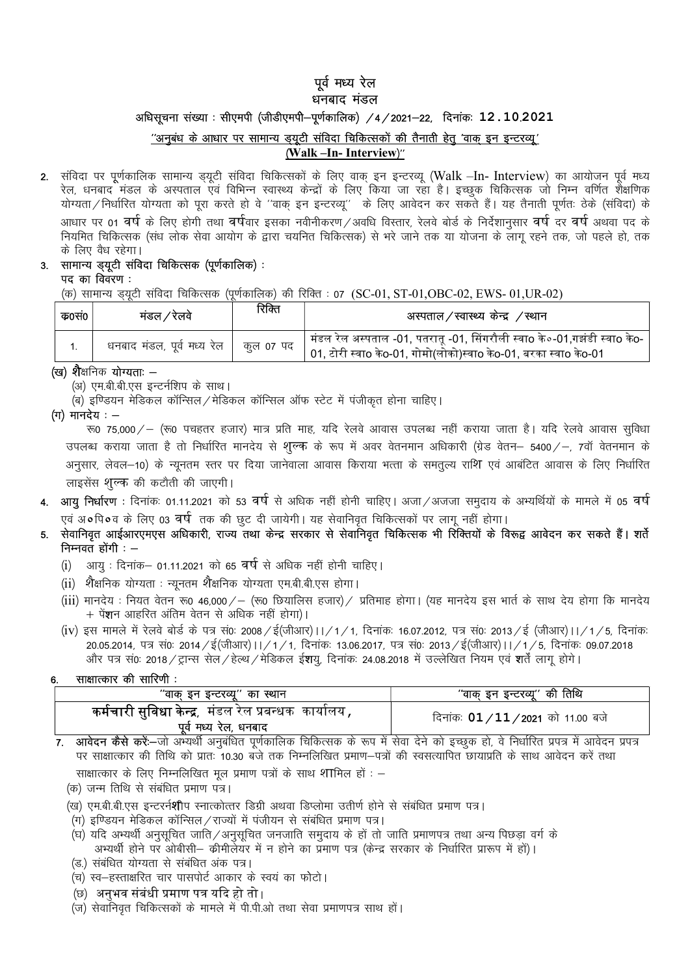## पूर्व मध्य रेल

### धनबाद मंडल

अधिसूचना संख्या : सीएमपी (जीडीएमपी-पूर्णकालिक) /4/2021-22, दिनांकः 12.10.2021

### "अनुबंध के आधार पर सामान्य ड्यूटी संविदा चिकित्सकों की तैनाती हेतु 'वाक् इन इन्टरव्यू' (Walk -In- Interview)"

2. संविदा पर पूर्णकालिक सामान्य ड्यूटी संविदा चिकित्सकों के लिए वाक् इन इन्टरव्यू (Walk -In- Interview) का आयोजन पूर्व मध्य रेल, धनबाद मंडल के अस्पताल एवं विभिन्न स्वास्थ्य केन्द्रों के लिए किया जा रहा है। इच्छुक चिकित्सक जो निम्न वर्णित शैक्षणिक योग्यता/निर्धारित योग्यता को पूरा करते हो वे ''वाक् इन इन्टरव्यू'' के लिए आवेदन कर सकते हैं। यह तैनाती पूर्णतः ठेके (संविदा) के आधार पर 01 वर्ष के लिए होगी तथा वर्षिवार इसका नवीनीकरण/अवधि विस्तार, रेलवे बोर्ड के निर्देशानुसार वर्ष दर वर्ष अथवा पद के नियमित चिकित्सक (संध लोक सेवा आयोग के द्वारा चयनित चिकित्सक) से भरे जाने तक या योजना के लागू रहने तक, जो पहले हो, तक के लिए वैध रहेगा।

### 3. सामान्य ड्यूटी संविदा चिकित्सक (पूर्णकालिक) :

पद का विवरण :

(क) सामान्य ड़यूटी संविदा चिकित्सक (पूर्णकालिक) की रिक्ति : 07 (SC-01, ST-01,OBC-02, EWS-01,UR-02)

| क0स0 | मंडल ∕ रेलवे               | रिक्ति    | अस्पताल/स्वास्थ्य केन्द्र /स्थान                                                                                                                          |
|------|----------------------------|-----------|-----------------------------------------------------------------------------------------------------------------------------------------------------------|
|      | धनबाद मंडल, पूर्व मध्य रेल | कूल ०७ पद | <sup> </sup> मंडल रेल अस्पताल -01, पतरातू -01, सिंगरौली स्वाo के०-01,गझंडी स्वाo केo-<br>01, टोरी स्वाo केo-01, गोमो(लोको)स्वाo केo-01, बरका स्वाo केo-01 |

#### (ख) शैक्षनिक योग्यताः –

(अ) एम.बी.बी.एस इन्टर्नशिप के साथ।

(ब) इण्डियन मेडिकल कॉन्सिल / मेडिकल कॉन्सिल ऑफ स्टेट में पंजीकत होना चाहिए।

 $($ ग) मानदेय $:$   $-$ 

रू0 75,000 / - (रू0 पचहतर हजार) मात्र प्रति माह, यदि रेलवे आवास उपलब्ध नहीं कराया जाता है। यदि रेलवे आवास सुविधा उपलब्ध कराया जाता है तो निर्धारित मानदेय से शुल्क के रूप में अवर वेतनमान अधिकारी (ग्रेड वेतन– 5400 / -, 7वॉ वेतनमान के अनुसार, लेवल–10) के न्यूनतम स्तर पर दिया जानेवाला आवास किराया भत्ता के समतुल्य राशि एवं आबंटित आवास के लिए निर्धारित लाइसेंस शुल्क की कटौती की जाएगी।

- 4. आयू निर्धारण : दिनांकः 01.11.2021 को 53 वर्ष से अधिक नहीं होनी चाहिए। अजा ⁄ अजजा समुदाय के अभ्यर्थियों के मामले में 05 वर्ष एवं अ•्षि•व के लिए 03 वर्ष तक की छट दी जायेगी। यह सेवानिवृत चिकित्सकों पर लागु नहीं होगा।
- सेवानिवृत आईआरएमएस अधिकारी, राज्य तथा केन्द्र सरकार से सेवानिवृत चिकित्सक भी रिक्तियों के विरूद्व आवेदन कर सकते हैं। शर्ते निम्नवतं होगी $:$  –
	- (i) आयुः दिनांक– 01.11.2021 को 65 वर्ष से अधिक नहीं होनी चाहिए।
	- (ii) शैक्षनिक योग्यता : न्यूनतम शैक्षनिक योग्यता एम.बी.बी.एस होगा।
	- (iii) मानदेय : नियत वेतन रू0 46,000/ (रू0 छियालिस हजार)/ प्रतिमाह होगा। (यह मानदेय इस भार्त के साथ देय होगा कि मानदेय + पें**श**न आहरित अंतिम वेतन से अधिक नहीं होगा)।
	- (iv) इस मामले में रेलवे बोर्ड के पत्र सं0: 2008 /ई(जीआर)।।/1/1, दिनांक: 16.07.2012, पत्र सं0: 2013 /ई (जीआर)।।/1/5, दिनांक: 20.05.2014, पत्र सं0: 2014 /ई(जीआर)।।/1/1, दिनांक: 13.06.2017, पत्र सं0: 2013 /ई(जीआर)।।/1/5, दिनांक: 09.07.2018 और पत्र सं0: 2018 / ट्रान्स सेल / हेल्थ / मेडिकल ई**श**यु, दिनांक: 24.08.2018 में उल्लेखित नियम एवं **श**र्तें लागू होगे।

#### साक्षात्कार की सारिणी : 6

| "वाक् इन इन्टरव्यू" का स्थान                                                                   | "वाक् इन इन्टरव्यू" की तिथि              |
|------------------------------------------------------------------------------------------------|------------------------------------------|
| <b>कर्मचारी सुविधा केन्द्र</b> , मंडल रेल प्रबन्धक  कार्यालय <b>,</b><br>पूर्व मध्य रेल, धनबाद | दिनांकः <b>01 /11 /2021</b> को 11.00 बजे |

7. आवेदन कैसे करें:—जो अभ्यर्थी अनुबंधित पूर्णकालिक चिकित्सक के रूप में सेवा देने को इच्छूक हो, वे निर्धारित प्रपत्र में आवेदन प्रपत्र पर साक्षात्कार की तिथि को प्रातः 10.30 बजे तक निम्नलिखित प्रमाण–पत्रों की स्वसत्यापित छायाप्रति के साथ आवेदन करें तथा

साक्षात्कार के लिए निम्नलिखित मूल प्रमाण पत्रों के साथ शामिल हों : –

- (क) जन्म तिथि से संबंधित प्रमाण पत्र।
- (ख) एम.बी.बी.एस इन्टरर्न**शी**प स्नात्कोत्तर डिग्री अथवा डिप्लोमा उतीर्ण होने से संबंधित प्रमाण पत्र।
- (ग) इण्डियन मेडिकल कॉन्सिल / राज्यों में पंजीयन से संबंधित प्रमाण पत्र।
- (घ) यदि अभ्यर्थी अनुसुचित जाति /अनुसुचित जनजाति समुदाय के हों तो जाति प्रमाणपत्र तथा अन्य पिछड़ा वर्ग के अभ्यर्थी होने पर ओबीसी– क्रीमीर्लेयर में न होने का प्रमाण पत्र (केन्द्र सरकार के निर्धारित प्रारूप में हों)।
- (ड.) संबंधित योग्यता से संबंधित अंक पत्र।
- (च) स्व-हस्ताक्षरित चार पासपोर्ट आकार के स्वयं का फोटो।
- (छ) अनुभव संबंधी प्रमाण पत्र यदि हो तो ।
- (ज) सेवानिवृत चिकित्सकों के मामले में पी.पी.ओ तथा सेवा प्रमाणपत्र साथ हों।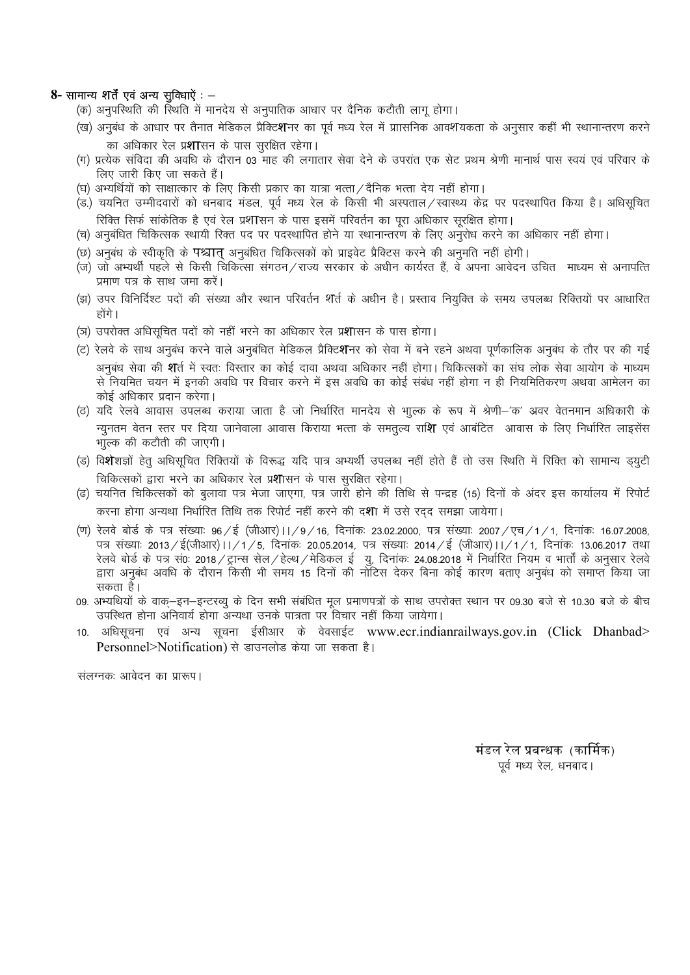#### 8- सामान्य शर्तें एवं अन्य सुविधाऐं : -

- (क) अनुपरिथति की रिथति में मानदेय से अनुपातिक आधार पर दैनिक कटौती लागू होगा।
- (ख) अनुबंध के आधार पर तैनात मेडिकल प्रैक्टिशनर का पूर्व मध्य रेल में प्राासनिक आवशणयकता के अनुसार कहीं भी स्थानान्तरण करने का अधिकार रेल प्र**शा**सन के पास सुरक्षित रहेगा।
- (ग) प्रत्येक संविदा की अवधि के दौरान 03 माह की लगातार सेवा देने के उपरांत एक सेट प्रथम श्रेणी मानार्थ पास स्वयं एवं परिवार के लिए जारी किए जा सकते हैं।
- (घ) अभ्यर्थियों को साक्षात्कार के लिए किसी प्रकार का यात्रा भत्ता / दैनिक भत्ता देय नहीं होगा।
- (ड.) चयनित उम्मीदवारों को धनबाद मंडल, पूर्व मध्य रेल के किसी भी अस्पताल / स्वास्थ्य केंद्र पर पदस्थापित किया है। अधिसूचित रिक्ति सिर्फ सांकेतिक है एवं रेल प्रशासन के पास इसमें परिवर्तन का पूरा अधिकार सूरक्षित होगा।
- (च) अनुबंधित चिकित्सक स्थायी रिक्त पद पर पदस्थापित होने या स्थानान्तरण के लिए अनुरोध करने का अधिकार नहीं होगा।
- (छ) अनुबंध के स्वीकृति के पश्चात् अनुबंधित चिकित्सकों को प्राइवेट प्रैक्टिस करने की अनुमति नहीं होगी।
- (ज) जो अभ्यर्थी पहले से किसी चिकित्सा संगठन/राज्य सरकार के अधीन कार्यरत हैं, वे अपना आवेदन उचित माध्यम से अनापत्ति प्रमाण पत्र के साथ जमा करें।
- (झ) उपर विनिर्दिश्ट पदों की संख्या और स्थान परिवर्तन शर्ति के अधीन है। प्रस्ताव नियुक्ति के समय उपलब्ध रिक्तियों पर आधारित होंगे।
- (ञ) उपरोक्त अधिसूचित पदों को नहीं भरने का अधिकार रेल प्रशासन के पास होगा।
- (ट) रेलवे के साथ अनुबंध करने वाले अनुबंधित मेडिकल प्रैक्टिशनर को सेवा में बने रहने अथवा पूर्णकालिक अनुबंध के तौर पर की गई अनुबंध सेवा की **श**र्त में स्वतः विस्तार का कोई दावा अथवा अधिकार नहीं होगा। चिकित्सकों का संघ लोक सेवा आयोग के माध्यम से नियमित चयन में इनकी अवधि पर विचार करने में इस अवधि का कोई संबंध नहीं होगा न ही नियमितिकरण अथवा आमेलन का कोई अधिकार प्रदान करेगा।
- (ठ) यदि रेलवे आवास उपलब्ध कराया जाता है जो निर्धारित मानदेय से भाूल्क के रूप में श्रेणी–'क' अवर वेतनमान अधिकारी के न्यूनतम वेतन स्तर पर दिया जानेवाला आवास किराया भत्ता के समतूल्य रा**शि** एवं आबंटित आवास के लिए निर्धारित लाइसेंस भाूल्क की कटौती की जाएगी।
- (ड) वि**शे**शज्ञों हेतु अधिसूचित रिक्तियों के विरूद्ध यदि पात्र अभ्यर्थी उपलब्ध नहीं होते हैं तो उस स्थिति में रिक्ति को सामान्य ड्युटी चिकित्सकों द्वारा भरने का अधिकार रेल प्रशासन के पास सुरक्षित रहेगा।
- (ढ) चयनित चिकित्सकों को बुलावा पत्र भेजा जाएगा, पत्र जारी होने की तिथि से पन्द्रह (15) दिनों के अंदर इस कार्यालय में रिपोर्ट करना होगा अन्यथा निर्धारित तिथि तक रिपोर्ट नहीं करने की दशा में उसे रदद समझा जायेगा।
- (ण) रेलवे बोर्ड के पत्र संख्याः 96/ई (जीआर)।।/9/16, दिनांकः 23.02.2000, पत्र संख्याः 2007/एच/1/1, दिनांकः 16.07.2008, पत्र संख्याः 2013/ई(जीआर)।।/1/5, दिनांकः 20.05.2014, पत्र संख्याः 2014/ई (जीआर)।।/1/1, दिनांकः 13.06.2017 तथा रेलवे बोर्ड के पत्र सं0: 2018 / ट्रान्स सेल / हेल्थ / मेडिकल ई) यु. दिनांक: 24.08.2018 में निर्धारित नियम व भार्तों के अनुसार रेलवे द्वारा अनुबंध अवधि के दौरान किसी भी समय 15 दिनों की नोटिस देकर बिना कोई कारण बताए अनुबंध को समाप्त किया जा सकता है।
- 09. अभ्यथियों के वाक्-इन-इन्टरव्यु के दिन सभी संबंधित मूल प्रमाणपत्रों के साथ उपरोक्त स्थान पर 09.30 बजे से 10.30 बजे के बीच उपस्थित होना अनिवार्य होगा अन्यथा उनके पात्रता पर विचार नहीं किया जायेगा।
- 10. अधिसूचना एवं अन्य सूचना ईसीआर के वेवसाईट www.ecr.indianrailways.gov.in (Click Dhanbad> Personnel>Notification) से डाउनलोड केया जा सकता है।

संलग्नकः आवेदन का प्रारूप।

मंडल रेल प्रबन्धक (कार्मिक) पूर्व मध्य रेल, धनबाद।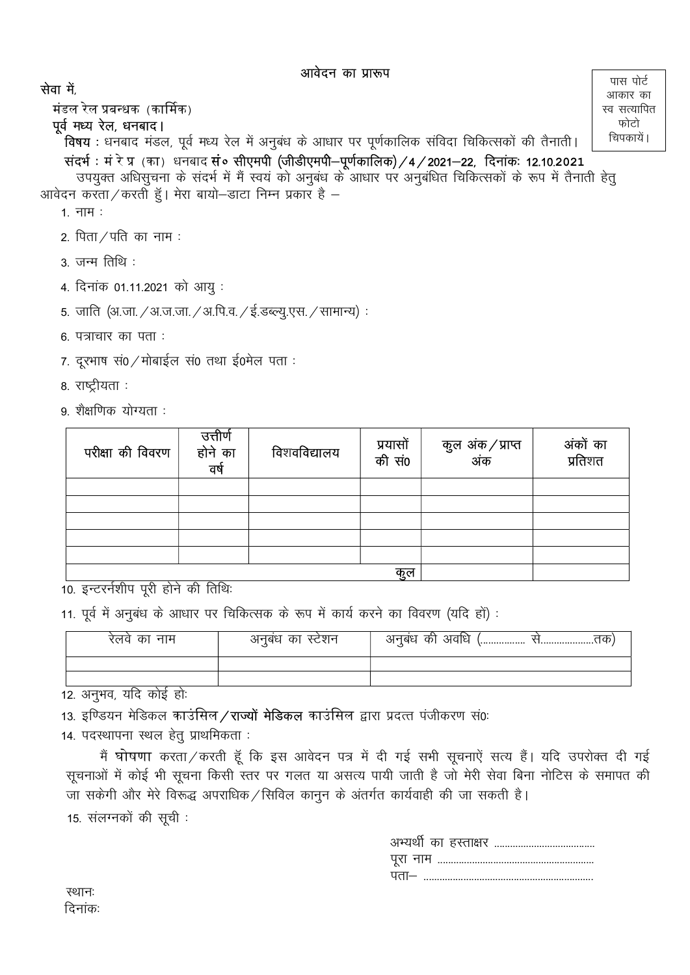पास पोर्ट

आकार का

स्व सत्यापित फोटो

चिपकायें ।

### सेवा में

मंडल रेल प्रबन्धक (कार्मिक)

### पूर्व मध्य रेल, धनबाद।

**विषय**: धनबाद मंडल, पूर्व मध्य रेल में अनुबंध के आधार पर पूर्णकालिक संविदा चिकित्सकों की तैनाती। संदर्भ : मं रे प्र (का) धनबाद सं० सीएमपी (जीडीएमपी-पूर्णकालिक) / 4 / 2021-22, दिनांक: 12.10.2021

उपयुक्त अधिसूचना के संदर्भ में मैं स्वयं को अनुबंध के आधार पर अनुबंधित चिकित्सकों के रूप में तैनाती हेतू आवेदन करता / करती हूँ। मेरा बायो–डाटा निम्न प्रकार है –

- $1.714$ :
- 2. पिता $/$ पति का नाम:
- $3\overline{3}$  जन्म तिथि:
- 4. दिनांक 01.11.2021 को आयु:
- 5. जाति (अ.जा. / अ.ज.जा. / अ.पि.व. / ई.डब्ल्यू.एस. / सामान्य):
- $6.$  पत्राचार का पता:
- 7. दरभाष सं0 / मोबाईल सं0 तथा ई0मेल पता:
- 8. राष्ट्रीयता :
- 9. शैक्षणिक योग्यता :

| परीक्षा की विवरण | उत्तीर्ण<br>होने का<br>वर्ष | विशवविद्यालय | प्रयासों<br>की सं0 | कुल अंक ⁄ प्राप्त<br>अंक | अंकों का<br>प्रतिशत |
|------------------|-----------------------------|--------------|--------------------|--------------------------|---------------------|
|                  |                             |              |                    |                          |                     |
|                  |                             |              |                    |                          |                     |
|                  |                             |              |                    |                          |                     |
|                  |                             |              |                    |                          |                     |
|                  |                             |              |                    |                          |                     |
|                  |                             |              | कुल                |                          |                     |

10. इन्टरर्नशीप पूरी होने की तिथि:

11. पूर्व में अनुबंध के आधार पर चिकित्सक के रूप में कार्य करने का विवरण (यदि हों) :

| रतव का नाम                                                                                                                                                                                                                                                                                                                                                         | अनुबंध का स्टेशन | अनुबंध की अवधि ।<br>,,,,,,,,,,,,,,,,,,<br>\!\! |
|--------------------------------------------------------------------------------------------------------------------------------------------------------------------------------------------------------------------------------------------------------------------------------------------------------------------------------------------------------------------|------------------|------------------------------------------------|
|                                                                                                                                                                                                                                                                                                                                                                    |                  |                                                |
|                                                                                                                                                                                                                                                                                                                                                                    |                  |                                                |
| $\overline{10}$ $\overline{0}$ $\overline{10}$ $\overline{10}$ $\overline{11}$ $\overline{11}$ $\overline{11}$ $\overline{11}$ $\overline{11}$ $\overline{11}$ $\overline{11}$ $\overline{11}$ $\overline{11}$ $\overline{11}$ $\overline{11}$ $\overline{11}$ $\overline{11}$ $\overline{11}$ $\overline{11}$ $\overline{11}$ $\overline{11}$ $\overline{11}$ $\$ |                  |                                                |

12. अनुभव, यदि कोई हो:

13. इण्डियन मेडिकल काउंसिल/राज्यों मेडिकल काउंसिल द्वारा प्रदत्त पंजीकरण सं0:

14. पदस्थापना स्थल हेतू प्राथमिकता:

मैं घोषणा करता / करती हूँ कि इस आवेदन पत्र में दी गई सभी सूचनाऐं सत्य हैं। यदि उपरोक्त दी गई सूचनाओं में कोई भी सूचना किसी स्तर पर गलत या असत्य पायी जाती है जो मेरी सेवा बिना नोटिस के समापत की जा सकेगी और मेरे विरूद्ध अपराधिक / सिविल कानून के अंतर्गत कार्यवाही की जा सकती है। 15. संलग्नकों की सूची:

| पता— |
|------|

स्थानः दिनांक: